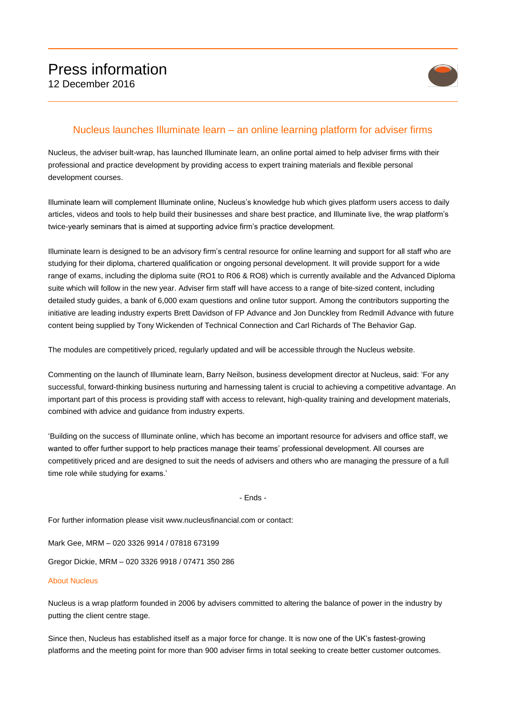

## Nucleus launches Illuminate learn – an online learning platform for adviser firms

Nucleus, the adviser built-wrap, has launched Illuminate learn, an online portal aimed to help adviser firms with their professional and practice development by providing access to expert training materials and flexible personal development courses.

Illuminate learn will complement Illuminate online, Nucleus's knowledge hub which gives platform users access to daily articles, videos and tools to help build their businesses and share best practice, and Illuminate live, the wrap platform's twice-yearly seminars that is aimed at supporting advice firm's practice development.

Illuminate learn is designed to be an advisory firm's central resource for online learning and support for all staff who are studying for their diploma, chartered qualification or ongoing personal development. It will provide support for a wide range of exams, including the diploma suite (RO1 to R06 & RO8) which is currently available and the Advanced Diploma suite which will follow in the new year. Adviser firm staff will have access to a range of bite-sized content, including detailed study guides, a bank of 6,000 exam questions and online tutor support. Among the contributors supporting the initiative are leading industry experts Brett Davidson of FP Advance and Jon Dunckley from Redmill Advance with future content being supplied by Tony Wickenden of Technical Connection and Carl Richards of The Behavior Gap.

The modules are competitively priced, regularly updated and will be accessible through the Nucleus website.

Commenting on the launch of Illuminate learn, Barry Neilson, business development director at Nucleus, said: 'For any successful, forward-thinking business nurturing and harnessing talent is crucial to achieving a competitive advantage. An important part of this process is providing staff with access to relevant, high-quality training and development materials, combined with advice and guidance from industry experts.

'Building on the success of Illuminate online, which has become an important resource for advisers and office staff, we wanted to offer further support to help practices manage their teams' professional development. All courses are competitively priced and are designed to suit the needs of advisers and others who are managing the pressure of a full time role while studying for exams.'

- Ends -

For further information please visit www.nucleusfinancial.com or contact:

Mark Gee, MRM – 020 3326 9914 / 07818 673199

Gregor Dickie, MRM – 020 3326 9918 / 07471 350 286

## About Nucleus

Nucleus is a wrap platform founded in 2006 by advisers committed to altering the balance of power in the industry by putting the client centre stage.

Since then, Nucleus has established itself as a major force for change. It is now one of the UK's fastest-growing platforms and the meeting point for more than 900 adviser firms in total seeking to create better customer outcomes.